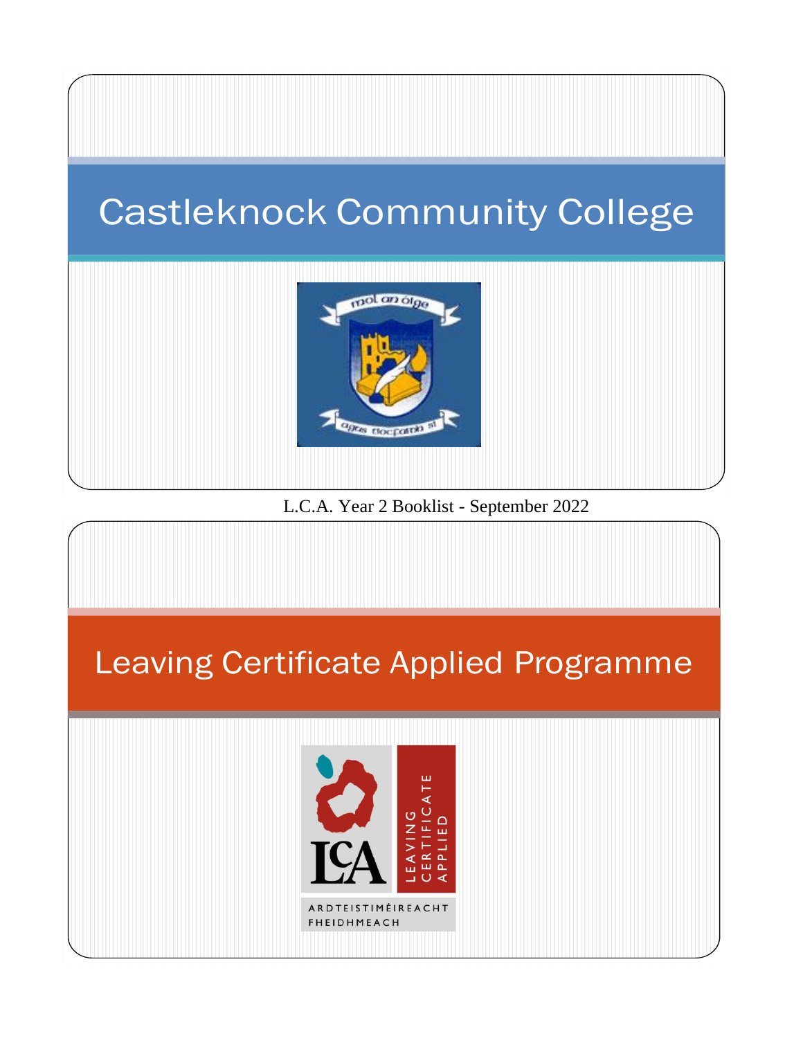## Castleknock Community College



L.C.A. Year 2 Booklist - September 2022

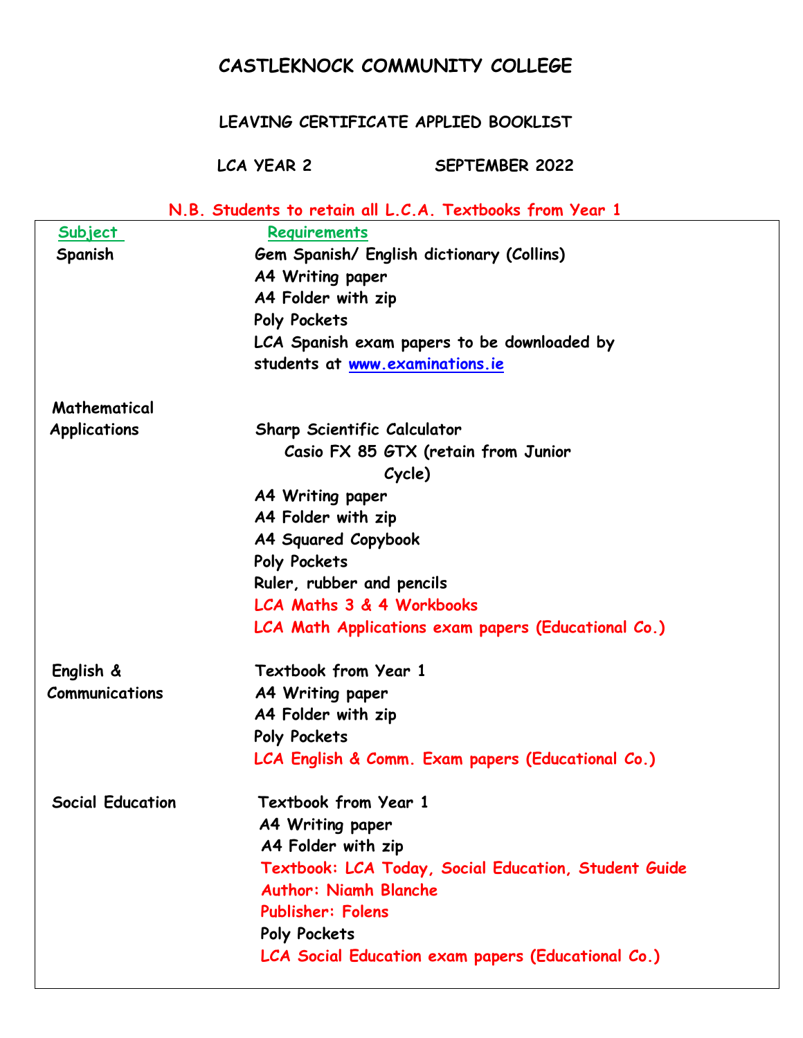## **CASTLEKNOCK COMMUNITY COLLEGE**

## **LEAVING CERTIFICATE APPLIED BOOKLIST**

**LCA YEAR 2 SEPTEMBER 2022**

| N.B. Students to retain all L.C.A. Textbooks from Year 1 |                                                      |
|----------------------------------------------------------|------------------------------------------------------|
| <u>Subject</u>                                           | Requirements                                         |
| Spanish                                                  | Gem Spanish/ English dictionary (Collins)            |
|                                                          | <b>A4 Writing paper</b>                              |
|                                                          | A4 Folder with zip                                   |
|                                                          | Poly Pockets                                         |
|                                                          | LCA Spanish exam papers to be downloaded by          |
|                                                          | students at www.examinations.ie                      |
| Mathematical                                             |                                                      |
| <b>Applications</b>                                      | <b>Sharp Scientific Calculator</b>                   |
|                                                          | Casio FX 85 GTX (retain from Junior                  |
|                                                          | Cycle)                                               |
|                                                          | A4 Writing paper                                     |
|                                                          | A4 Folder with zip                                   |
|                                                          | A4 Squared Copybook                                  |
|                                                          | Poly Pockets                                         |
|                                                          | Ruler, rubber and pencils                            |
|                                                          | LCA Maths 3 & 4 Workbooks                            |
|                                                          | LCA Math Applications exam papers (Educational Co.)  |
| English &                                                | Textbook from Year 1                                 |
| Communications                                           | A4 Writing paper                                     |
|                                                          | A4 Folder with zip                                   |
|                                                          | Poly Pockets                                         |
|                                                          | LCA English & Comm. Exam papers (Educational Co.)    |
| <b>Social Education</b>                                  | Textbook from Year 1                                 |
|                                                          | <b>A4 Writing paper</b>                              |
|                                                          | A4 Folder with zip                                   |
|                                                          | Textbook: LCA Today, Social Education, Student Guide |
|                                                          | <b>Author: Niamh Blanche</b>                         |
|                                                          | <b>Publisher: Folens</b>                             |
|                                                          | Poly Pockets                                         |
|                                                          | LCA Social Education exam papers (Educational Co.)   |
|                                                          |                                                      |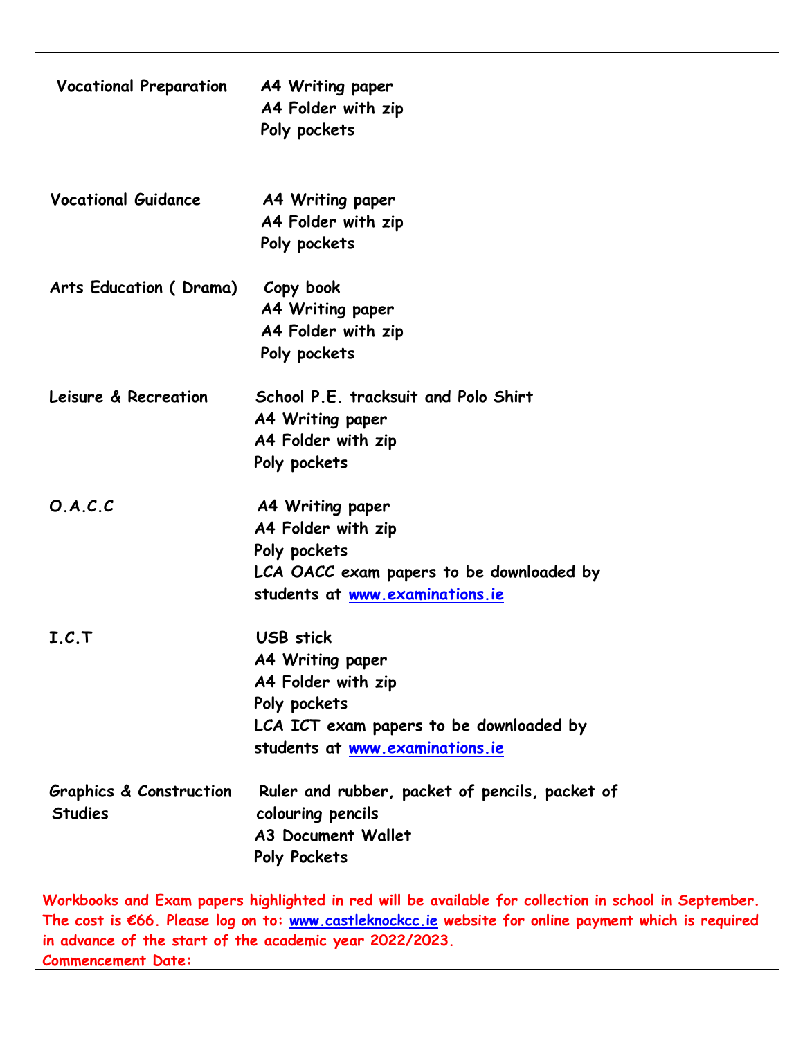| <b>Vocational Preparation</b>                        | A4 Writing paper<br>A4 Folder with zip<br>Poly pockets                                                                                                                                                                                                                   |
|------------------------------------------------------|--------------------------------------------------------------------------------------------------------------------------------------------------------------------------------------------------------------------------------------------------------------------------|
| <b>Vocational Guidance</b>                           | A4 Writing paper<br>A4 Folder with zip<br>Poly pockets                                                                                                                                                                                                                   |
| Arts Education (Drama)                               | Copy book<br>A4 Writing paper<br>A4 Folder with zip<br>Poly pockets                                                                                                                                                                                                      |
| Leisure & Recreation                                 | School P.E. tracksuit and Polo Shirt<br>A4 Writing paper<br>A4 Folder with zip<br>Poly pockets                                                                                                                                                                           |
| O.A.C.C                                              | A4 Writing paper<br>A4 Folder with zip<br>Poly pockets<br>LCA OACC exam papers to be downloaded by<br>students at www.examinations.ie                                                                                                                                    |
| I.C.T                                                | <b>USB</b> stick<br>A4 Writing paper<br>A4 Folder with zip<br>Poly pockets<br>LCA ICT exam papers to be downloaded by<br>students at www.examinations.ie                                                                                                                 |
| <b>Graphics &amp; Construction</b><br><b>Studies</b> | Ruler and rubber, packet of pencils, packet of<br>colouring pencils<br><b>A3 Document Wallet</b><br>Poly Pockets                                                                                                                                                         |
| <b>Commencement Date:</b>                            | Workbooks and Exam papers highlighted in red will be available for collection in school in September.<br>The cost is €66. Please log on to: www.castleknockcc.ie website for online payment which is required<br>in advance of the start of the academic year 2022/2023. |